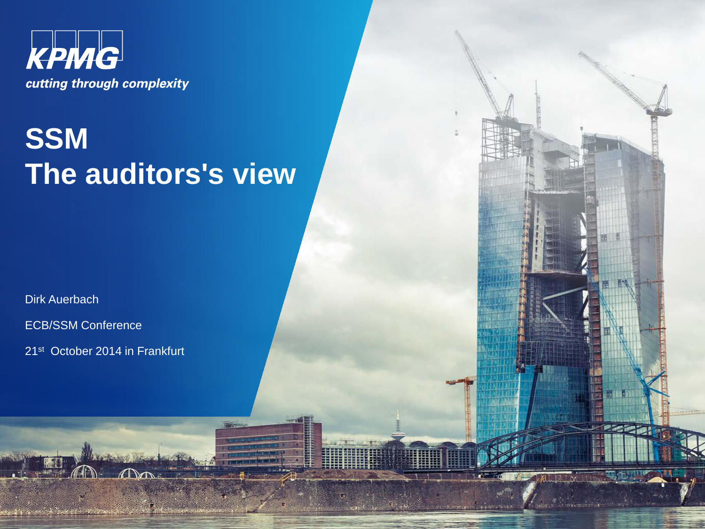

## **SSM The auditors's view**

**Burn** 

ALIA

**In the State** 

Dirk Auerbach

ECB/SSM Conference

21st October 2014 in Frankfurt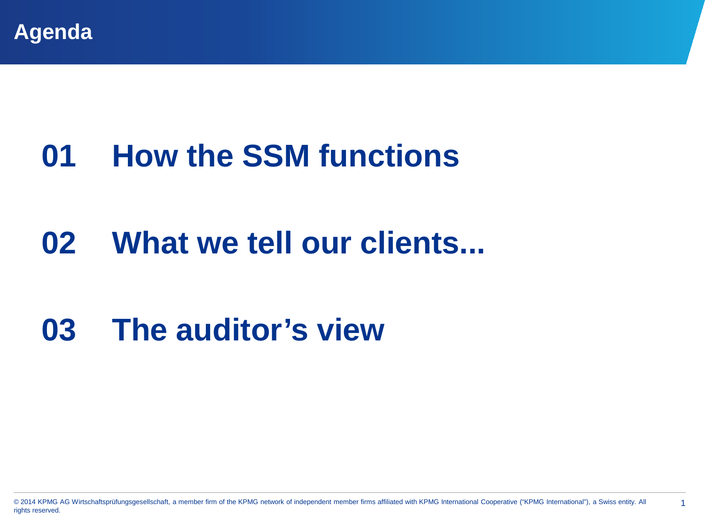

# **01 How the SSM functions**

## **02 What we tell our clients...**

## **03 The auditor's view**

© 2014 KPMG AG Wirtschaftsprüfungsgesellschaft, a member firm of the KPMG network of independent member firms affiliated with KPMG International Cooperative ("KPMG International"), a Swiss entity. All 1 rights reserved.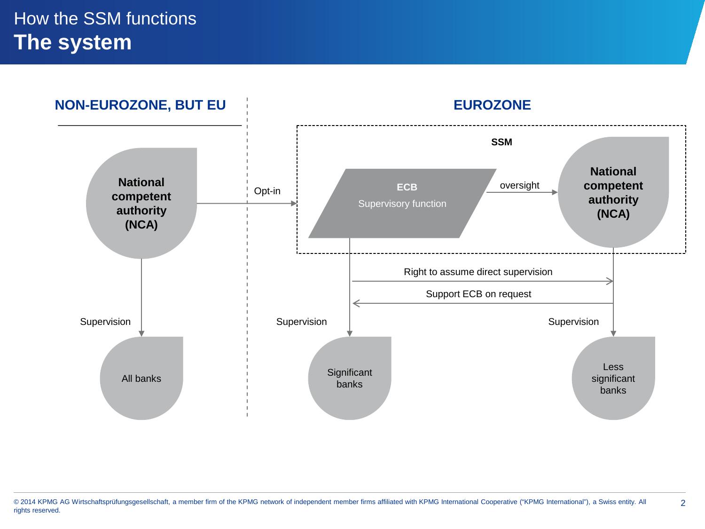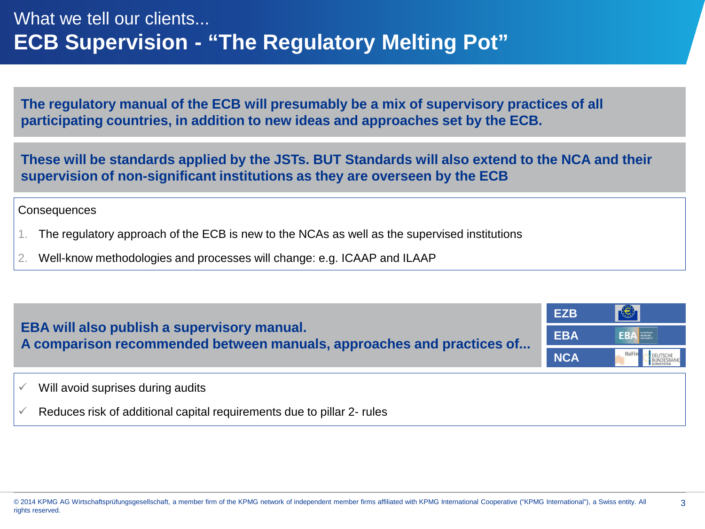**The regulatory manual of the ECB will presumably be a mix of supervisory practices of all participating countries, in addition to new ideas and approaches set by the ECB.**

**These will be standards applied by the JSTs. BUT Standards will also extend to the NCA and their supervision of non-significant institutions as they are overseen by the ECB**

**Consequences** 

- 1. The regulatory approach of the ECB is new to the NCAs as well as the supervised institutions
- 2. Well-know methodologies and processes will change: e.g. ICAAP and ILAAP

| EBA will also publish a supervisory manual.<br>A comparison recommended between manuals, approaches and practices of | <b>EZB</b> | 长          |
|----------------------------------------------------------------------------------------------------------------------|------------|------------|
|                                                                                                                      | <b>EBA</b> | <b>EBA</b> |
|                                                                                                                      | <b>NCA</b> | BaFin      |
| Will avoid suprises during audits                                                                                    |            |            |
| Reduces risk of additional capital requirements due to pillar 2- rules                                               |            |            |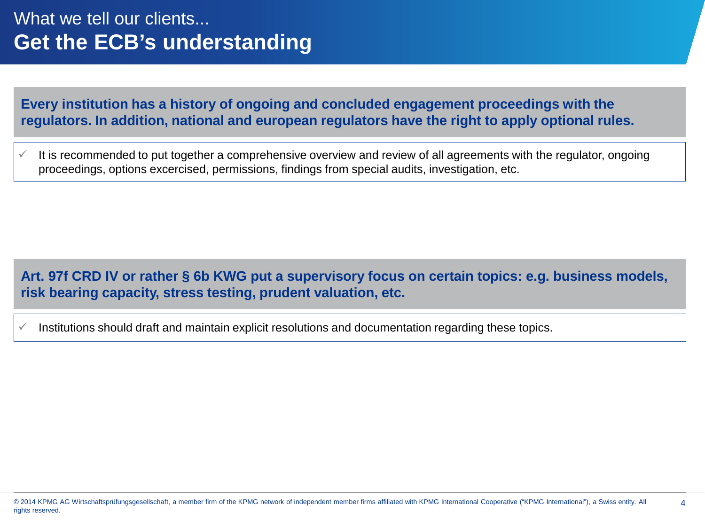### What we tell our clients... **Get the ECB's understanding**

#### **Every institution has a history of ongoing and concluded engagement proceedings with the regulators. In addition, national and european regulators have the right to apply optional rules.**

 It is recommended to put together a comprehensive overview and review of all agreements with the regulator, ongoing proceedings, options excercised, permissions, findings from special audits, investigation, etc.

### **Art. 97f CRD IV or rather § 6b KWG put a supervisory focus on certain topics: e.g. business models, risk bearing capacity, stress testing, prudent valuation, etc.**

 $\checkmark$  Institutions should draft and maintain explicit resolutions and documentation regarding these topics.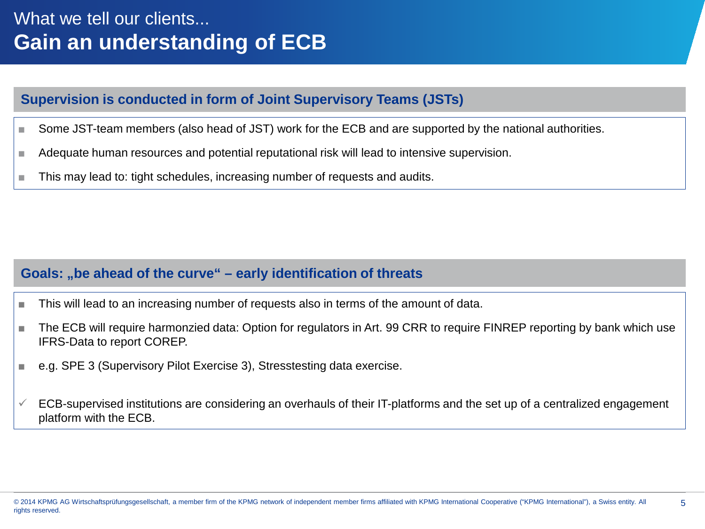#### **Supervision is conducted in form of Joint Supervisory Teams (JSTs)**

- Some JST-team members (also head of JST) work for the ECB and are supported by the national authorities.
- Adequate human resources and potential reputational risk will lead to intensive supervision.
- This may lead to: tight schedules, increasing number of requests and audits.

#### **Goals: "be ahead of the curve" – early identification of threats**

- This will lead to an increasing number of requests also in terms of the amount of data.
- The ECB will require harmonzied data: Option for regulators in Art. 99 CRR to require FINREP reporting by bank which use IFRS-Data to report COREP.
- e.g. SPE 3 (Supervisory Pilot Exercise 3), Stresstesting data exercise.
- $\checkmark$  ECB-supervised institutions are considering an overhauls of their IT-platforms and the set up of a centralized engagement platform with the ECB.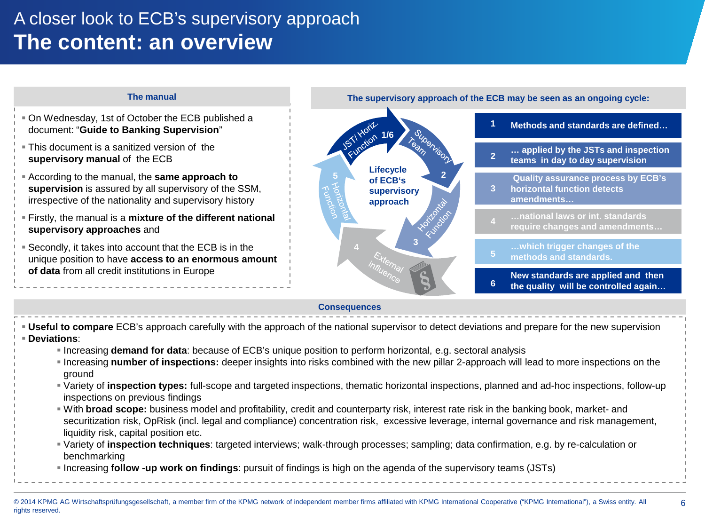### A closer look to ECB's supervisory approach **The content: an overview**



- **Deviations**:
	- Increasing **demand for data**: because of ECB's unique position to perform horizontal, e.g. sectoral analysis
	- Increasing **number of inspections:** deeper insights into risks combined with the new pillar 2-approach will lead to more inspections on the ground
	- Variety of **inspection types:** full-scope and targeted inspections, thematic horizontal inspections, planned and ad-hoc inspections, follow-up inspections on previous findings
	- With **broad scope:** business model and profitability, credit and counterparty risk, interest rate risk in the banking book, market- and securitization risk, OpRisk (incl. legal and compliance) concentration risk, excessive leverage, internal governance and risk management, liquidity risk, capital position etc.
	- Variety of **inspection techniques**: targeted interviews; walk-through processes; sampling; data confirmation, e.g. by re-calculation or benchmarking
	- Increasing **follow -up work on findings**: pursuit of findings is high on the agenda of the supervisory teams (JSTs)
- © 2014 KPMG AG Wirtschaftsprüfungsgesellschaft, a member firm of the KPMG network of independent member firms affiliated with KPMG International Cooperative ("KPMG International"), a Swiss entity. All 6 rights reserved.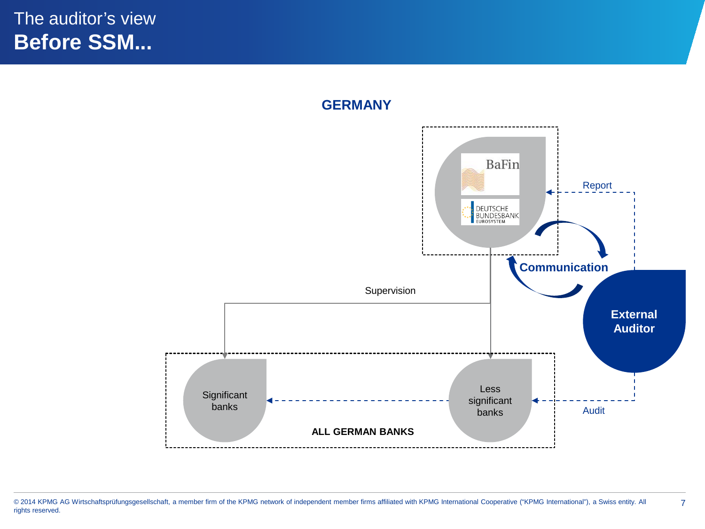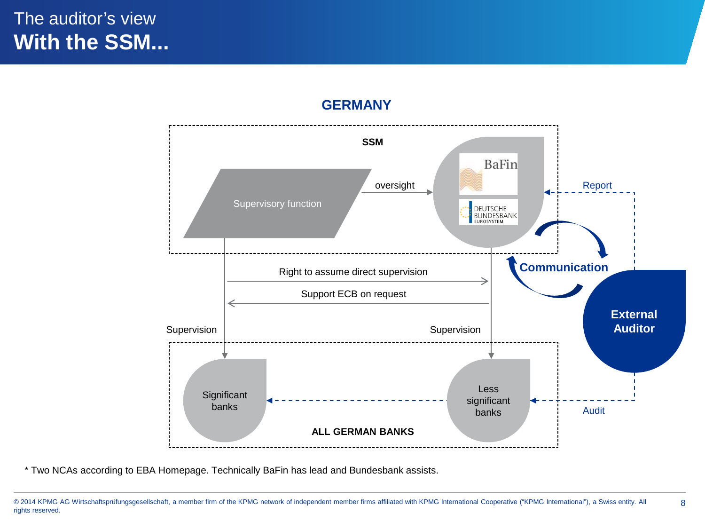### The auditor's view **With the SSM...**



#### **GERMANY**

<sup>© 2014</sup> KPMG AG Wirtschaftsprüfungsgesellschaft, a member firm of the KPMG network of independent member firms affiliated with KPMG International Cooperative ("KPMG International"), a Swiss entity. All 8 rights reserved.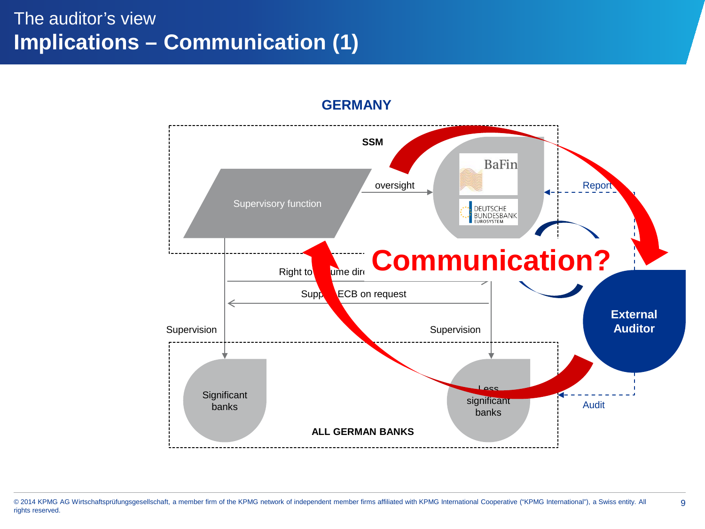## The auditor's view **Implications – Communication (1)**



#### **GERMANY**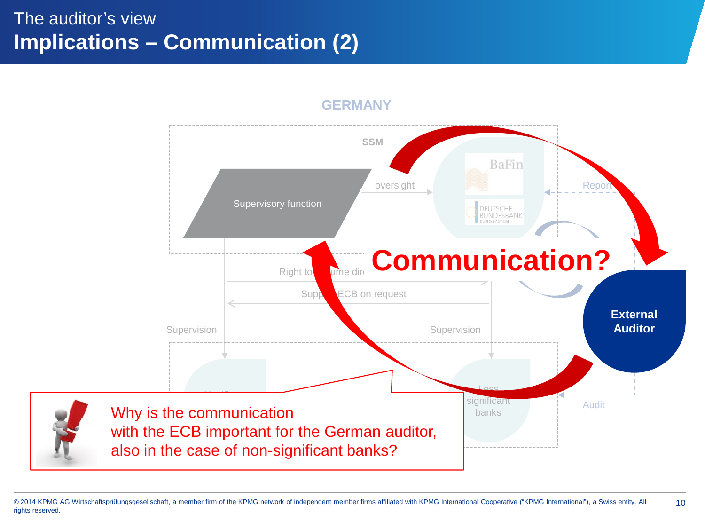### The auditor's view **Implications – Communication (2)**



#### **GERMANY**

© 2014 KPMG AG Wirtschaftsprüfungsgesellschaft, a member firm of the KPMG network of independent member firms affiliated with KPMG International Cooperative ("KPMG International"), a Swiss entity. All 10 rights reserved.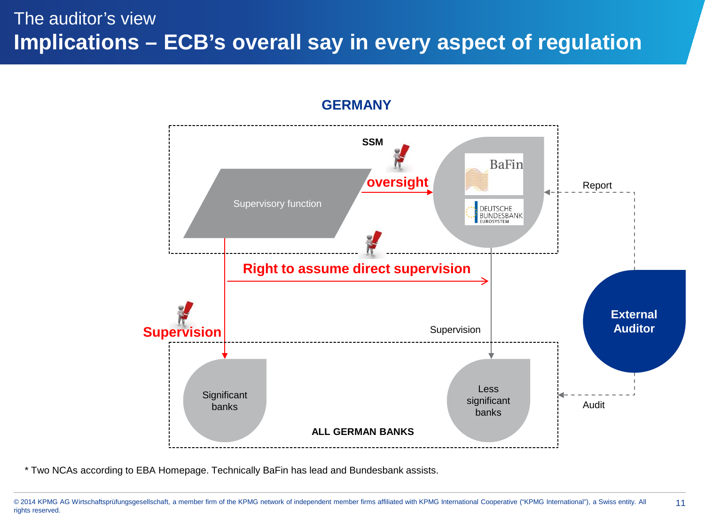### The auditor's view **Implications – ECB's overall say in every aspect of regulation**



#### **GERMANY**

<sup>© 2014</sup> KPMG AG Wirtschaftsprüfungsgesellschaft, a member firm of the KPMG network of independent member firms affiliated with KPMG International Cooperative ("KPMG International"), a Swiss entity. All 11 rights reserved.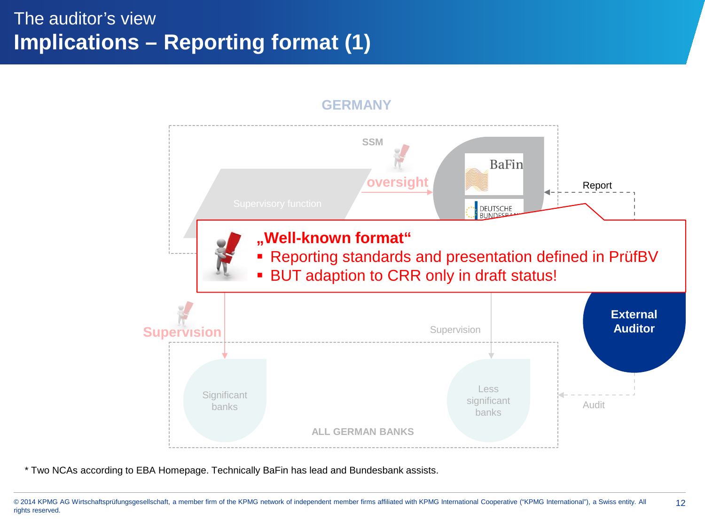### The auditor's view **Implications – Reporting format (1)**



<sup>© 2014</sup> KPMG AG Wirtschaftsprüfungsgesellschaft, a member firm of the KPMG network of independent member firms affiliated with KPMG International Cooperative ("KPMG International"), a Swiss entity. All 12 rights reserved.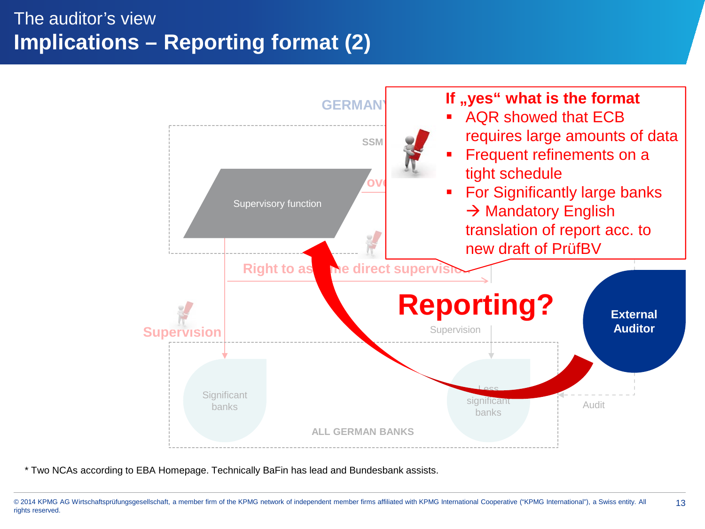### The auditor's view **Implications – Reporting format (2)**



<sup>© 2014</sup> KPMG AG Wirtschaftsprüfungsgesellschaft, a member firm of the KPMG network of independent member firms affiliated with KPMG International Cooperative ("KPMG International"), a Swiss entity. All 13 rights reserved.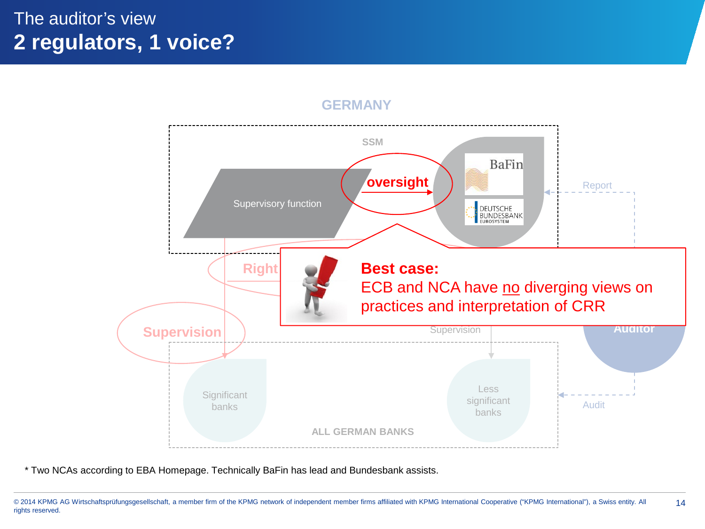### The auditor's view **2 regulators, 1 voice?**



#### **GERMANY**

<sup>© 2014</sup> KPMG AG Wirtschaftsprüfungsgesellschaft, a member firm of the KPMG network of independent member firms affiliated with KPMG International Cooperative ("KPMG International"), a Swiss entity. All 14 rights reserved.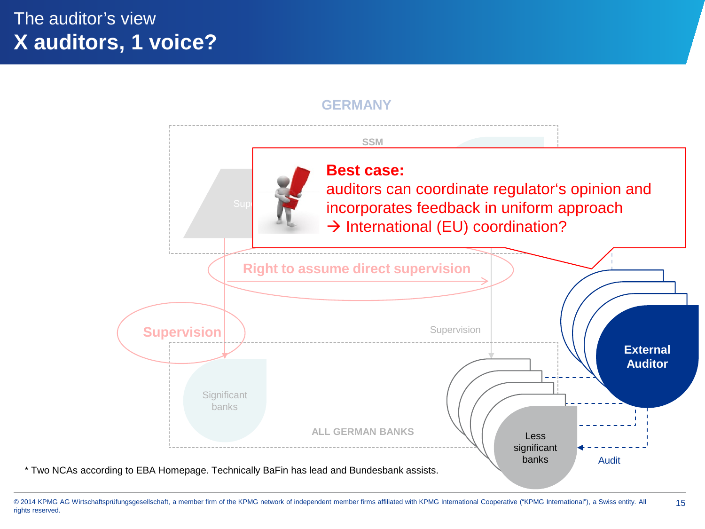## The auditor's view **X auditors, 1 voice?**

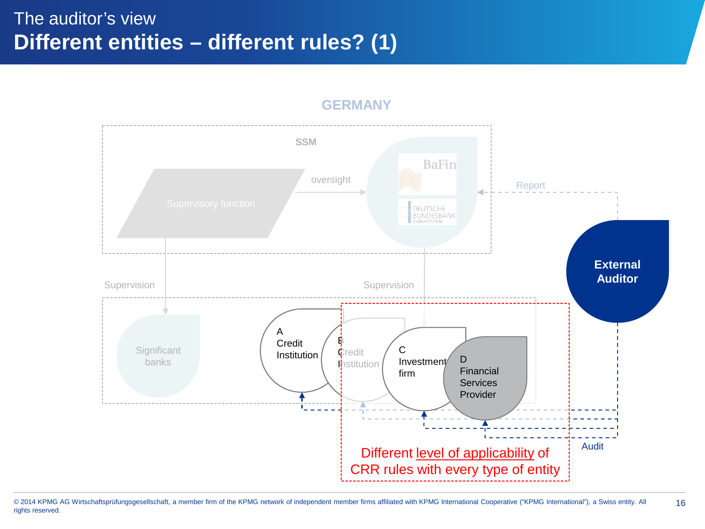## The auditor's view **Different entities – different rules? (1)**



#### **GERMANY**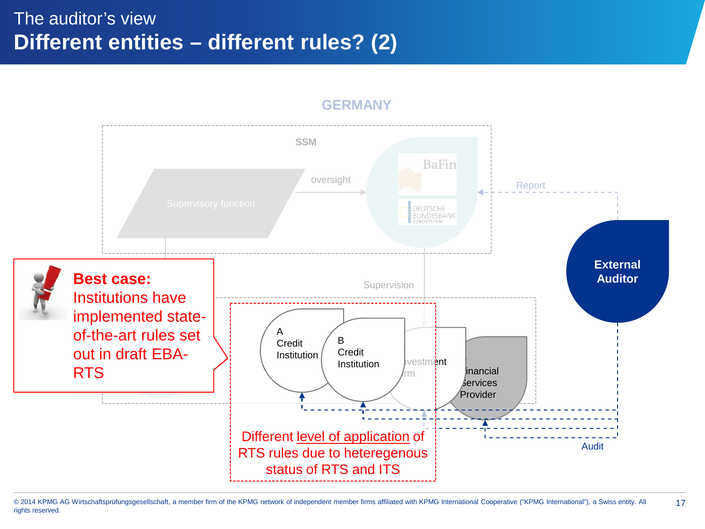### The auditor's view **Different entities – different rules? (2)**



**GERMANY**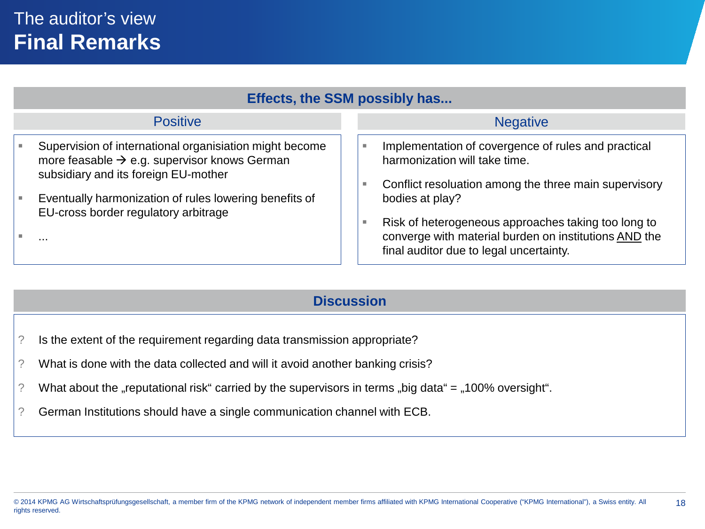| <b>Positive</b><br><b>Negative</b><br>Supervision of international organisiation might become<br>Implementation of covergence of rules and practical<br>more feasable $\rightarrow$ e.g. supervisor knows German<br>harmonization will take time.<br>subsidiary and its foreign EU-mother<br>Conflict resoluation among the three main supervisory<br>Eventually harmonization of rules lowering benefits of<br>bodies at play?<br>EU-cross border regulatory arbitrage | Effects, the SSM possibly has |                                                     |  |  |
|-------------------------------------------------------------------------------------------------------------------------------------------------------------------------------------------------------------------------------------------------------------------------------------------------------------------------------------------------------------------------------------------------------------------------------------------------------------------------|-------------------------------|-----------------------------------------------------|--|--|
|                                                                                                                                                                                                                                                                                                                                                                                                                                                                         |                               |                                                     |  |  |
| converge with material burden on institutions AND the<br><br>final auditor due to legal uncertainty.                                                                                                                                                                                                                                                                                                                                                                    |                               | Risk of heterogeneous approaches taking too long to |  |  |

### **Discussion**

- ? Is the extent of the requirement regarding data transmission appropriate?
- ? What is done with the data collected and will it avoid another banking crisis?
- ? What about the "reputational risk" carried by the supervisors in terms "big data" =  $,100\%$  oversight".
- ? German Institutions should have a single communication channel with ECB.